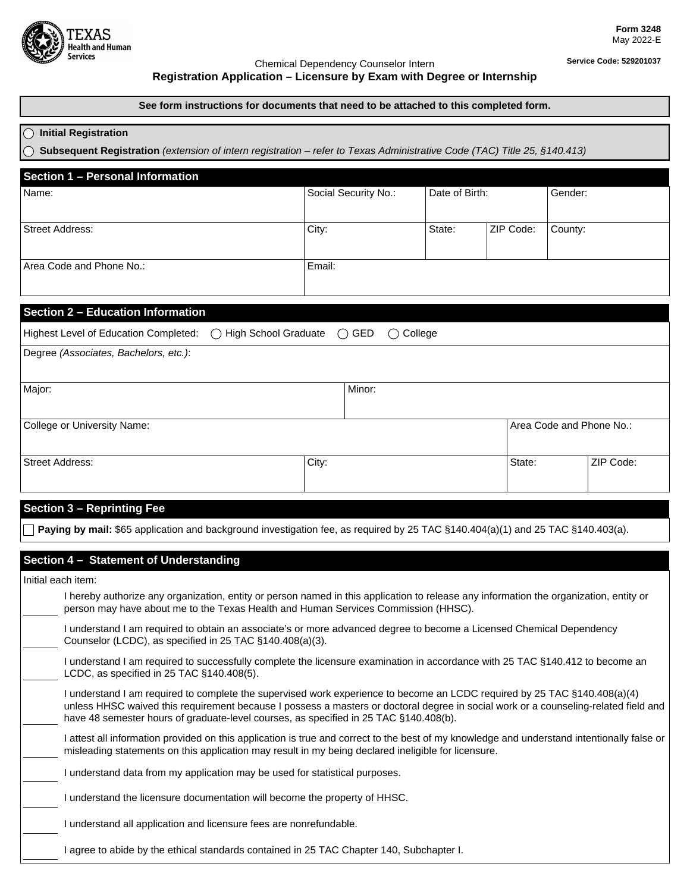

## Chemical Dependency Counselor Intern **Service Code: 529201037 Registration Application – Licensure by Exam with Degree or Internship**

### **See form instructions for documents that need to be attached to this completed form.**

### **Initial Registration**

**Subsequent Registration** *(extension of intern registration – refer to Texas Administrative Code (TAC) Title 25, §140.413)*

| Name:                                        | Social Security No.:                                      | Date of Birth:           |           | Gender: |
|----------------------------------------------|-----------------------------------------------------------|--------------------------|-----------|---------|
| <b>Street Address:</b>                       | City:                                                     | State:                   | ZIP Code: | County: |
| Area Code and Phone No.:                     | Email:                                                    |                          |           |         |
| <b>Section 2 - Education Information</b>     |                                                           |                          |           |         |
| Highest Level of Education Completed:<br>( ) | <b>High School Graduate</b><br>$\bigcirc$<br>GED<br>$($ ) | College                  |           |         |
| Degree (Associates, Bachelors, etc.):        |                                                           |                          |           |         |
| Major:                                       | Minor:                                                    |                          |           |         |
| College or University Name:                  |                                                           | Area Code and Phone No.: |           |         |
|                                              |                                                           |                          |           |         |

#### **Section 3 – Reprinting Fee**

**Paying by mail:** \$65 application and background investigation fee, as required by 25 TAC §140.404(a)(1) and 25 TAC §140.403(a).

# **Section 4 – Statement of Understanding**

Initial each item:

| I hereby authorize any organization, entity or person named in this application to release any information the organization, entity or<br>person may have about me to the Texas Health and Human Services Commission (HHSC).                                                                                                                              |
|-----------------------------------------------------------------------------------------------------------------------------------------------------------------------------------------------------------------------------------------------------------------------------------------------------------------------------------------------------------|
| I understand I am required to obtain an associate's or more advanced degree to become a Licensed Chemical Dependency<br>Counselor (LCDC), as specified in 25 TAC §140.408(a)(3).                                                                                                                                                                          |
| I understand I am required to successfully complete the licensure examination in accordance with 25 TAC §140.412 to become an<br>LCDC, as specified in $25$ TAC $\S$ 140.408(5).                                                                                                                                                                          |
| I understand I am required to complete the supervised work experience to become an LCDC required by 25 TAC §140.408(a)(4)<br>unless HHSC waived this requirement because I possess a masters or doctoral degree in social work or a counseling-related field and<br>have 48 semester hours of graduate-level courses, as specified in 25 TAC §140.408(b). |
| attest all information provided on this application is true and correct to the best of my knowledge and understand intentionally false or<br>misleading statements on this application may result in my being declared ineligible for licensure.                                                                                                          |
| I understand data from my application may be used for statistical purposes.                                                                                                                                                                                                                                                                               |
| I understand the licensure documentation will become the property of HHSC.                                                                                                                                                                                                                                                                                |
| I understand all application and licensure fees are nonrefundable.                                                                                                                                                                                                                                                                                        |
| agree to abide by the ethical standards contained in 25 TAC Chapter 140, Subchapter I.                                                                                                                                                                                                                                                                    |